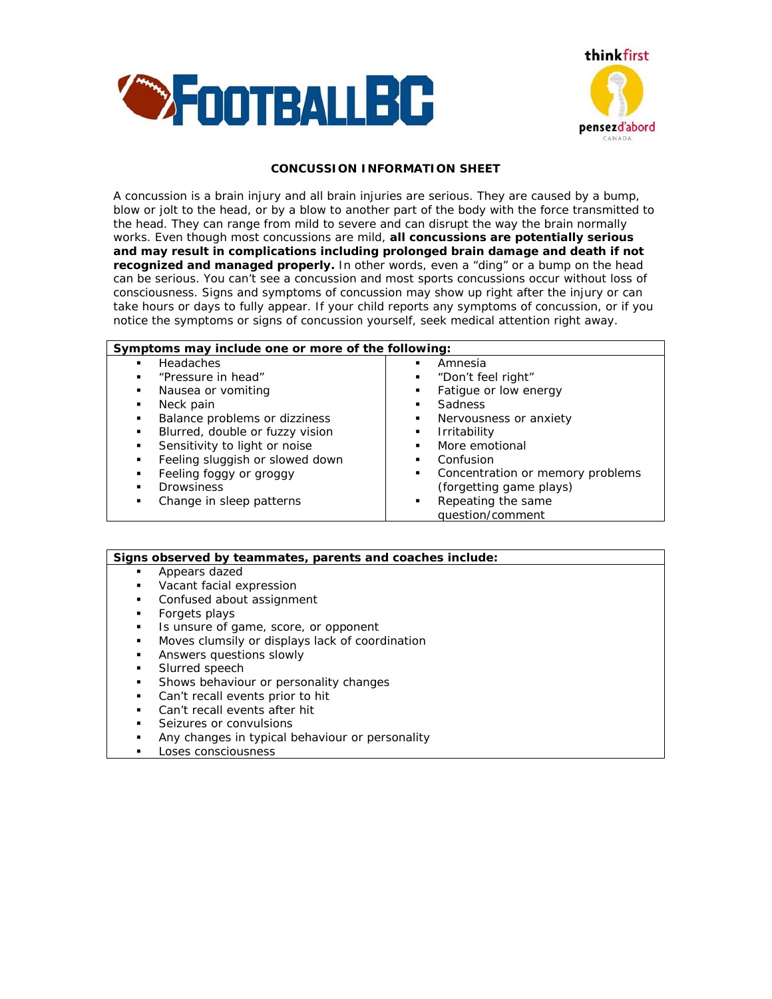



## *CONCUSSION INFORMATION SHEET*

A concussion is a brain injury and all brain injuries are serious. They are caused by a bump, blow or jolt to the head, or by a blow to another part of the body with the force transmitted to the head. They can range from mild to severe and can disrupt the way the brain normally works. Even though most concussions are mild, *all concussions are potentially serious and may result in complications including prolonged brain damage and death if not recognized and managed properly.* In other words, even a "ding" or a bump on the head can be serious. You can't see a concussion and most sports concussions occur without loss of consciousness. Signs and symptoms of concussion may show up right after the injury or can take hours or days to fully appear. If your child reports any symptoms of concussion, or if you notice the symptoms or signs of concussion yourself, seek medical attention right away.

| Symptoms may include one or more of the following: |                                       |
|----------------------------------------------------|---------------------------------------|
| <b>Headaches</b>                                   | Amnesia                               |
|                                                    | ٠                                     |
| "Pressure in head"                                 | "Don't feel right"                    |
| ٠                                                  | ٠                                     |
| Nausea or vomiting                                 | Fatigue or low energy                 |
| ٠                                                  | ٠                                     |
| Neck pain                                          | <b>Sadness</b>                        |
| ٠                                                  | ٠                                     |
| Balance problems or dizziness                      | Nervousness or anxiety                |
| ٠                                                  | ٠                                     |
| Blurred, double or fuzzy vision                    | Irritability                          |
| ٠                                                  | ٠                                     |
| Sensitivity to light or noise                      | More emotional<br>$\blacksquare$      |
| Feeling sluggish or slowed down                    | Confusion<br>٠                        |
| Feeling foggy or groggy                            | Concentration or memory problems<br>٠ |
| <b>Drowsiness</b>                                  | (forgetting game plays)               |
| Change in sleep patterns                           | Repeating the same                    |
|                                                    | ٠                                     |
|                                                    | question/comment                      |

| Signs observed by teammates, parents and coaches include: |                                                 |
|-----------------------------------------------------------|-------------------------------------------------|
| ٠                                                         | Appears dazed                                   |
| ٠                                                         | Vacant facial expression                        |
| ٠                                                         | Confused about assignment                       |
| ٠                                                         | Forgets plays                                   |
| ٠                                                         | Is unsure of game, score, or opponent           |
| ٠                                                         | Moves clumsily or displays lack of coordination |
| ٠                                                         | Answers questions slowly                        |
| ٠                                                         | Slurred speech                                  |
| ٠                                                         | Shows behaviour or personality changes          |
| ٠                                                         | Can't recall events prior to hit                |
| $\blacksquare$                                            | Can't recall events after hit                   |
|                                                           | Seizures or convulsions                         |

- Any changes in typical behaviour or personality
- Loses consciousness